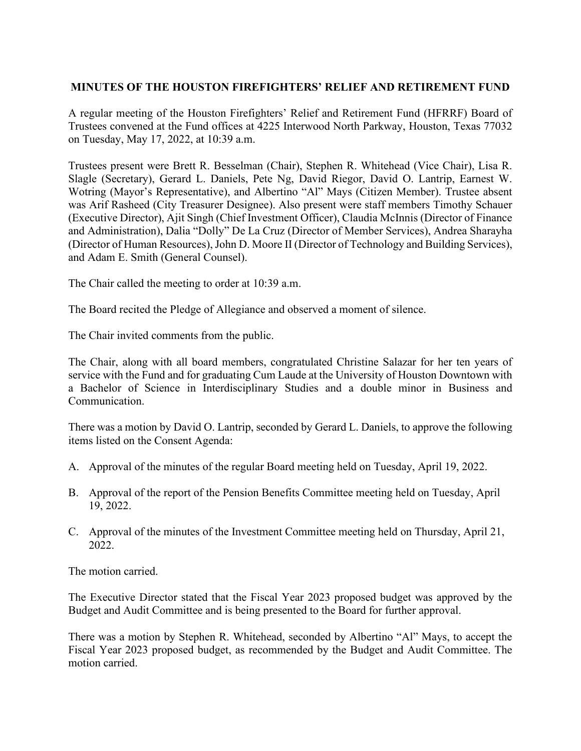## **MINUTES OF THE HOUSTON FIREFIGHTERS' RELIEF AND RETIREMENT FUND**

A regular meeting of the Houston Firefighters' Relief and Retirement Fund (HFRRF) Board of Trustees convened at the Fund offices at 4225 Interwood North Parkway, Houston, Texas 77032 on Tuesday, May 17, 2022, at 10:39 a.m.

Trustees present were Brett R. Besselman (Chair), Stephen R. Whitehead (Vice Chair), Lisa R. Slagle (Secretary), Gerard L. Daniels, Pete Ng, David Riegor, David O. Lantrip, Earnest W. Wotring (Mayor's Representative), and Albertino "Al" Mays (Citizen Member). Trustee absent was Arif Rasheed (City Treasurer Designee). Also present were staff members Timothy Schauer (Executive Director), Ajit Singh (Chief Investment Officer), Claudia McInnis (Director of Finance and Administration), Dalia "Dolly" De La Cruz (Director of Member Services), Andrea Sharayha (Director of Human Resources), John D. Moore II (Director of Technology and Building Services), and Adam E. Smith (General Counsel).

The Chair called the meeting to order at 10:39 a.m.

The Board recited the Pledge of Allegiance and observed a moment of silence.

The Chair invited comments from the public.

The Chair, along with all board members, congratulated Christine Salazar for her ten years of service with the Fund and for graduating Cum Laude at the University of Houston Downtown with a Bachelor of Science in Interdisciplinary Studies and a double minor in Business and Communication.

There was a motion by David O. Lantrip, seconded by Gerard L. Daniels, to approve the following items listed on the Consent Agenda:

- A. Approval of the minutes of the regular Board meeting held on Tuesday, April 19, 2022.
- B. Approval of the report of the Pension Benefits Committee meeting held on Tuesday, April 19, 2022.
- C. Approval of the minutes of the Investment Committee meeting held on Thursday, April 21, 2022.

The motion carried.

The Executive Director stated that the Fiscal Year 2023 proposed budget was approved by the Budget and Audit Committee and is being presented to the Board for further approval.

There was a motion by Stephen R. Whitehead, seconded by Albertino "Al" Mays, to accept the Fiscal Year 2023 proposed budget, as recommended by the Budget and Audit Committee. The motion carried.